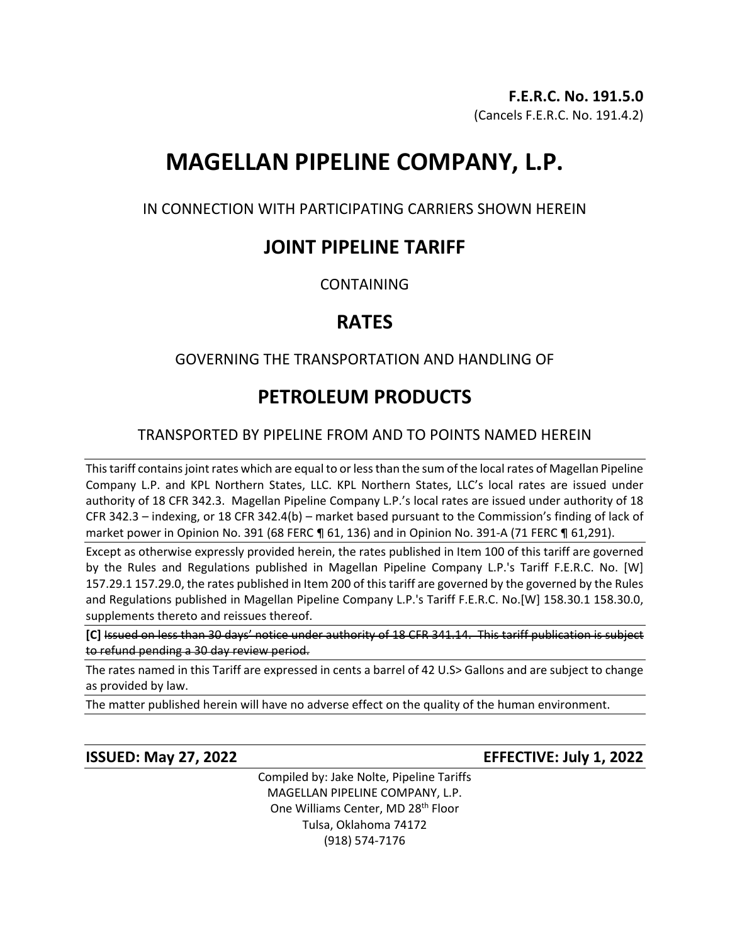# **MAGELLAN PIPELINE COMPANY, L.P.**

IN CONNECTION WITH PARTICIPATING CARRIERS SHOWN HEREIN

### **JOINT PIPELINE TARIFF**

**CONTAINING** 

## **RATES**

### GOVERNING THE TRANSPORTATION AND HANDLING OF

# **PETROLEUM PRODUCTS**

### TRANSPORTED BY PIPELINE FROM AND TO POINTS NAMED HEREIN

This tariff contains joint rates which are equal to or less than the sum of the local rates of Magellan Pipeline Company L.P. and KPL Northern States, LLC. KPL Northern States, LLC's local rates are issued under authority of 18 CFR 342.3. Magellan Pipeline Company L.P.'s local rates are issued under authority of 18 CFR 342.3 – indexing, or 18 CFR 342.4(b) – market based pursuant to the Commission's finding of lack of market power in Opinion No. 391 (68 FERC ¶ 61, 136) and in Opinion No. 391-A (71 FERC ¶ 61,291).

Except as otherwise expressly provided herein, the rates published in Item 100 of this tariff are governed by the Rules and Regulations published in Magellan Pipeline Company L.P.'s Tariff F.E.R.C. No. [W] 157.29.1 157.29.0, the rates published in Item 200 of this tariff are governed by the governed by the Rules and Regulations published in Magellan Pipeline Company L.P.'s Tariff F.E.R.C. No.[W] 158.30.1 158.30.0, supplements thereto and reissues thereof.

**[C]** Issued on less than 30 days' notice under authority of 18 CFR 341.14. This tariff publication is subject to refund pending a 30 day review period.

The rates named in this Tariff are expressed in cents a barrel of 42 U.S> Gallons and are subject to change as provided by law.

The matter published herein will have no adverse effect on the quality of the human environment.

**ISSUED: May 27, 2022 EFFECTIVE: July 1, 2022**

Compiled by: Jake Nolte, Pipeline Tariffs MAGELLAN PIPELINE COMPANY, L.P. One Williams Center, MD 28<sup>th</sup> Floor Tulsa, Oklahoma 74172 (918) 574-7176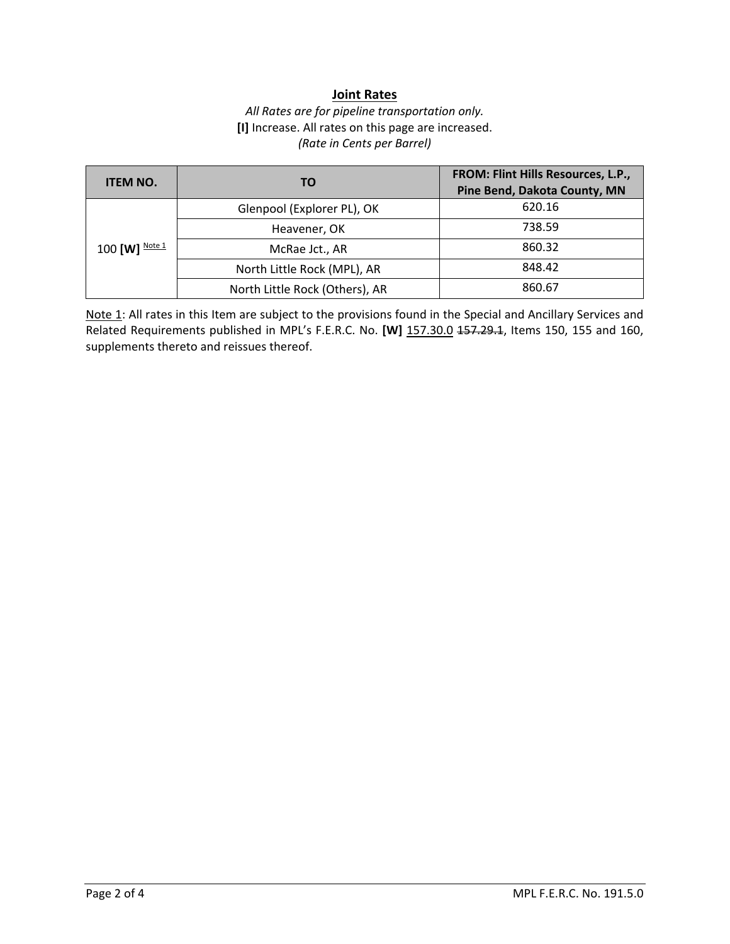#### **Joint Rates**

#### *All Rates are for pipeline transportation only.* **[I]** Increase. All rates on this page are increased. *(Rate in Cents per Barrel)*

| <b>ITEM NO.</b> | TO.                            | FROM: Flint Hills Resources, L.P.,<br>Pine Bend, Dakota County, MN |
|-----------------|--------------------------------|--------------------------------------------------------------------|
| 100 [W] Note 1  | Glenpool (Explorer PL), OK     | 620.16                                                             |
|                 | Heavener, OK                   | 738.59                                                             |
|                 | McRae Jct., AR                 | 860.32                                                             |
|                 | North Little Rock (MPL), AR    | 848.42                                                             |
|                 | North Little Rock (Others), AR | 860.67                                                             |

Note 1: All rates in this Item are subject to the provisions found in the Special and Ancillary Services and Related Requirements published in MPL's F.E.R.C. No. **[W]** 157.30.0 157.29.1, Items 150, 155 and 160, supplements thereto and reissues thereof.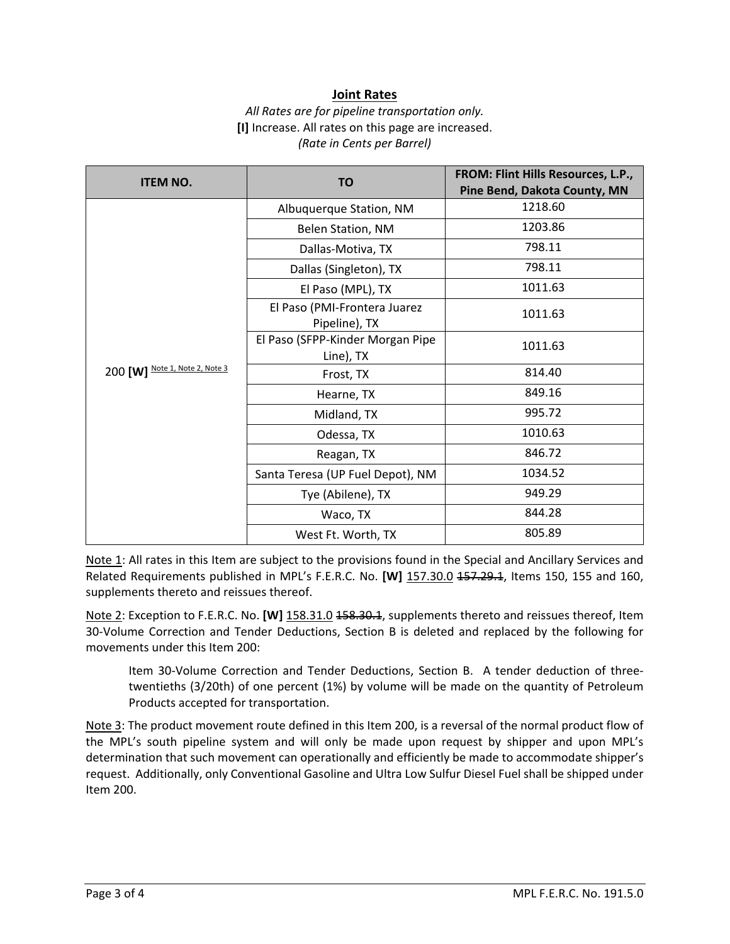#### **Joint Rates**

#### *All Rates are for pipeline transportation only.* **[I]** Increase. All rates on this page are increased. *(Rate in Cents per Barrel)*

| <b>ITEM NO.</b>                | <b>TO</b>                                     | FROM: Flint Hills Resources, L.P., |
|--------------------------------|-----------------------------------------------|------------------------------------|
|                                |                                               | Pine Bend, Dakota County, MN       |
|                                | Albuquerque Station, NM                       | 1218.60                            |
|                                | Belen Station, NM                             | 1203.86                            |
|                                | Dallas-Motiva, TX                             | 798.11                             |
|                                | Dallas (Singleton), TX                        | 798.11                             |
|                                | El Paso (MPL), TX                             | 1011.63                            |
|                                | El Paso (PMI-Frontera Juarez<br>Pipeline), TX | 1011.63                            |
|                                | El Paso (SFPP-Kinder Morgan Pipe<br>Line), TX | 1011.63                            |
| 200 [W] Note 1, Note 2, Note 3 | Frost, TX                                     | 814.40                             |
|                                | Hearne, TX                                    | 849.16                             |
|                                | Midland, TX                                   | 995.72                             |
|                                | Odessa, TX                                    | 1010.63                            |
|                                | Reagan, TX                                    | 846.72                             |
|                                | Santa Teresa (UP Fuel Depot), NM              | 1034.52                            |
|                                | Tye (Abilene), TX                             | 949.29                             |
|                                | Waco, TX                                      | 844.28                             |
|                                | West Ft. Worth, TX                            | 805.89                             |

Note 1: All rates in this Item are subject to the provisions found in the Special and Ancillary Services and Related Requirements published in MPL's F.E.R.C. No. **[W]** 157.30.0 157.29.1, Items 150, 155 and 160, supplements thereto and reissues thereof.

Note 2: Exception to F.E.R.C. No. **[W]** 158.31.0 <del>158.30.1</del>, supplements thereto and reissues thereof, Item 30-Volume Correction and Tender Deductions, Section B is deleted and replaced by the following for movements under this Item 200:

Item 30-Volume Correction and Tender Deductions, Section B. A tender deduction of threetwentieths (3/20th) of one percent (1%) by volume will be made on the quantity of Petroleum Products accepted for transportation.

Note 3: The product movement route defined in this Item 200, is a reversal of the normal product flow of the MPL's south pipeline system and will only be made upon request by shipper and upon MPL's determination that such movement can operationally and efficiently be made to accommodate shipper's request. Additionally, only Conventional Gasoline and Ultra Low Sulfur Diesel Fuel shall be shipped under Item 200.